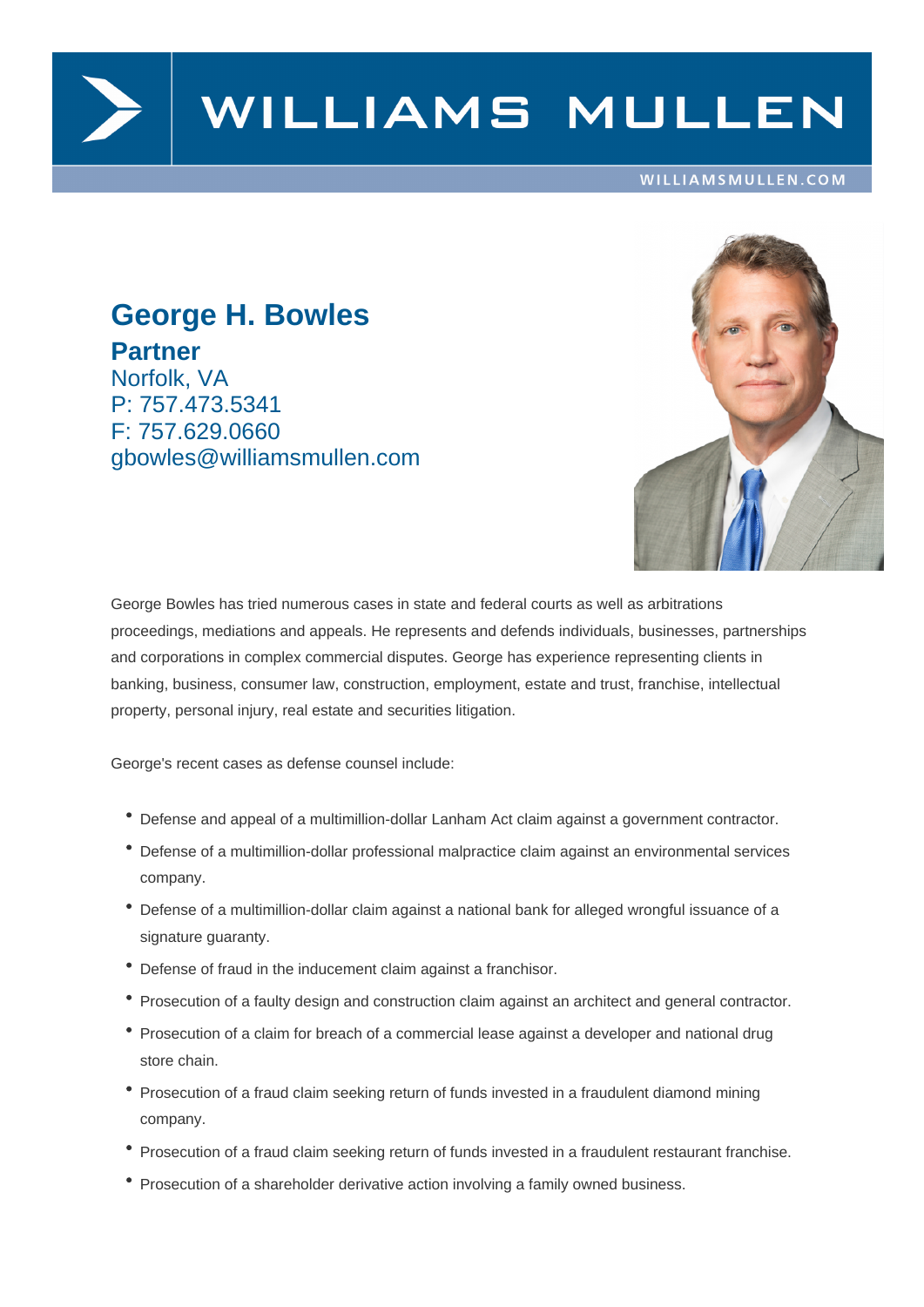

# WILLIAMS MULLEN

#### WILLIAMSMULLEN.COM

## **George H. Bowles Partner** Norfolk, VA

P: 757.473.5341 F: 757.629.0660 gbowles@williamsmullen.com



George Bowles has tried numerous cases in state and federal courts as well as arbitrations proceedings, mediations and appeals. He represents and defends individuals, businesses, partnerships and corporations in complex commercial disputes. George has experience representing clients in banking, business, consumer law, construction, employment, estate and trust, franchise, intellectual property, personal injury, real estate and securities litigation.

George's recent cases as defense counsel include:

- Defense and appeal of a multimillion-dollar Lanham Act claim against a government contractor.
- Defense of a multimillion-dollar professional malpractice claim against an environmental services company.
- Defense of a multimillion-dollar claim against a national bank for alleged wrongful issuance of a signature guaranty.
- Defense of fraud in the inducement claim against a franchisor.
- Prosecution of a faulty design and construction claim against an architect and general contractor.
- Prosecution of a claim for breach of a commercial lease against a developer and national drug store chain.
- Prosecution of a fraud claim seeking return of funds invested in a fraudulent diamond mining company.
- Prosecution of a fraud claim seeking return of funds invested in a fraudulent restaurant franchise.
- Prosecution of a shareholder derivative action involving a family owned business.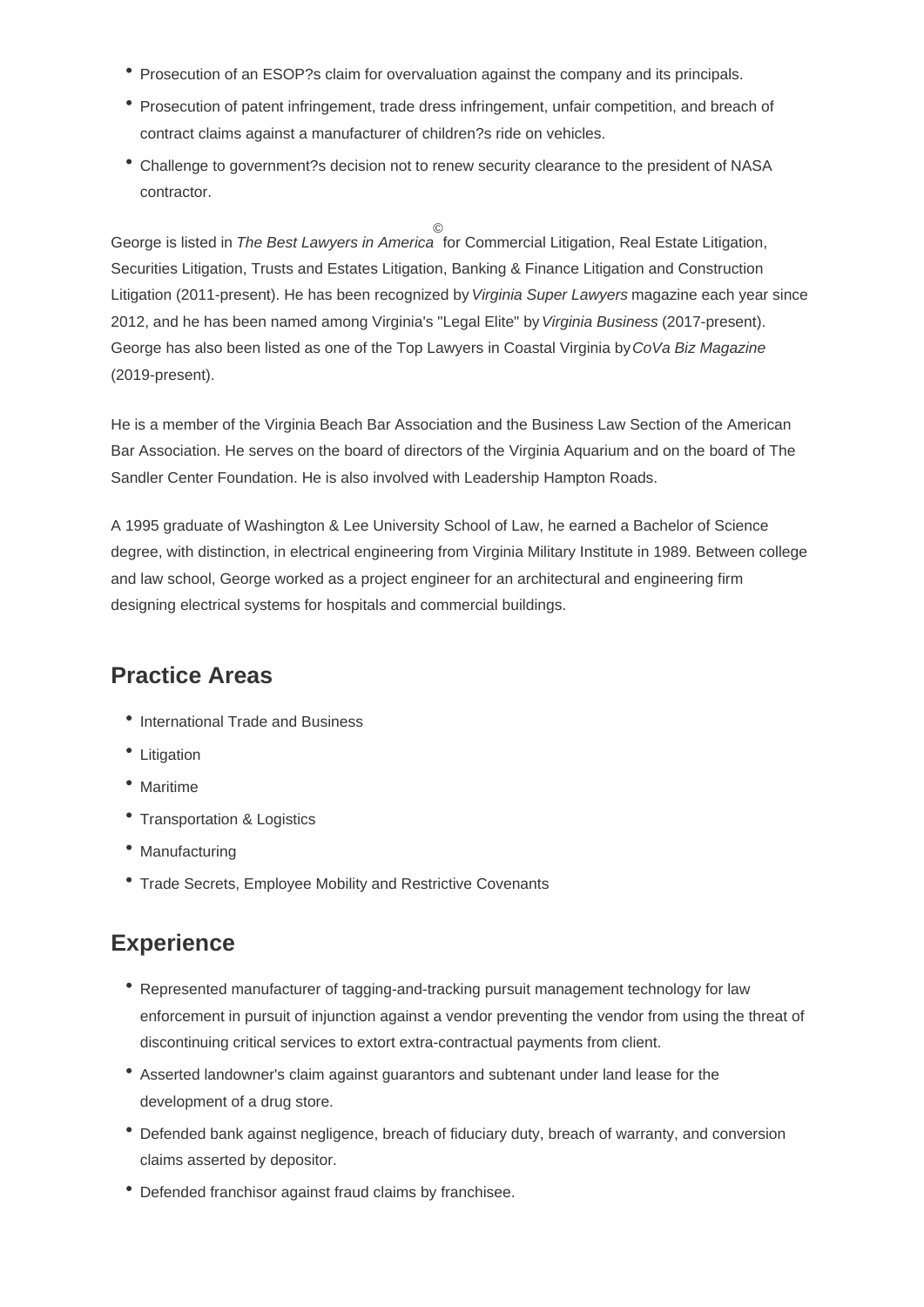- Prosecution of an ESOP?s claim for overvaluation against the company and its principals.
- Prosecution of patent infringement, trade dress infringement, unfair competition, and breach of contract claims against a manufacturer of children?s ride on vehicles.
- Challenge to government?s decision not to renew security clearance to the president of NASA contractor.

George is listed in The Best Lawyers in America © for Commercial Litigation, Real Estate Litigation, Securities Litigation, Trusts and Estates Litigation, Banking & Finance Litigation and Construction Litigation (2011-present). He has been recognized by Virginia Super Lawyers magazine each year since 2012, and he has been named among Virginia's "Legal Elite" by Virginia Business (2017-present). George has also been listed as one of the Top Lawyers in Coastal Virginia by CoVa Biz Magazine (2019-present).

He is a member of the Virginia Beach Bar Association and the Business Law Section of the American Bar Association. He serves on the board of directors of the Virginia Aquarium and on the board of The Sandler Center Foundation. He is also involved with Leadership Hampton Roads.

A 1995 graduate of Washington & Lee University School of Law, he earned a Bachelor of Science degree, with distinction, in electrical engineering from Virginia Military Institute in 1989. Between college and law school, George worked as a project engineer for an architectural and engineering firm designing electrical systems for hospitals and commercial buildings.

### **Practice Areas**

- International Trade and Business
- Litigation
- Maritime
- Transportation & Logistics
- Manufacturing
- Trade Secrets, Employee Mobility and Restrictive Covenants

### **Experience**

- Represented manufacturer of tagging-and-tracking pursuit management technology for law enforcement in pursuit of injunction against a vendor preventing the vendor from using the threat of discontinuing critical services to extort extra-contractual payments from client.
- Asserted landowner's claim against guarantors and subtenant under land lease for the development of a drug store.
- Defended bank against negligence, breach of fiduciary duty, breach of warranty, and conversion claims asserted by depositor.
- Defended franchisor against fraud claims by franchisee.